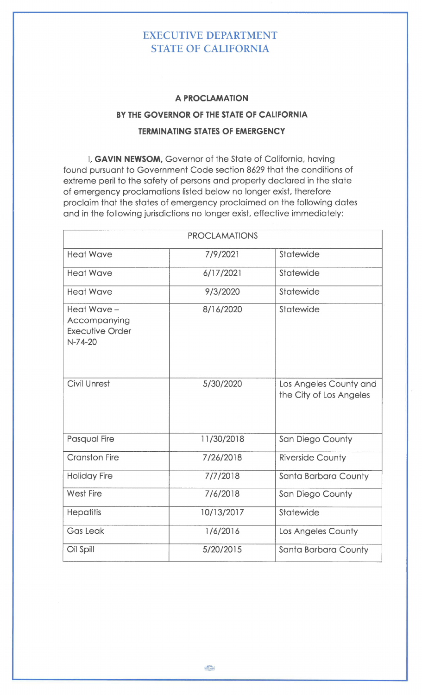## EXECUTIVE DEPARTMENT STATE OF CALIFORNIA

## **A PROCLAMATION**

## **BY THE GOVERNOR OF THE STATE OF CALIFORNIA TERMINATING STATES OF EMERGENCY**

I, **GAVIN NEWSOM,** Governor of the State of California, having found pursuant to Government Code section 8629 that the conditions of extreme peril to the safety of persons and property declared in the state of emergency proclamations listed below no longer exist, therefore proclaim that the states of emergency proclaimed on the following dates and in the following jurisdictions no longer exist, effective immediately:

| <b>PROCLAMATIONS</b>                                              |            |                                                   |
|-------------------------------------------------------------------|------------|---------------------------------------------------|
| <b>Heat Wave</b>                                                  | 7/9/2021   | Statewide                                         |
| <b>Heat Wave</b>                                                  | 6/17/2021  | Statewide                                         |
| <b>Heat Wave</b>                                                  | 9/3/2020   | Statewide                                         |
| Heat Wave-<br>Accompanying<br><b>Executive Order</b><br>$N-74-20$ | 8/16/2020  | Statewide                                         |
| <b>Civil Unrest</b>                                               | 5/30/2020  | Los Angeles County and<br>the City of Los Angeles |
| <b>Pasqual Fire</b>                                               | 11/30/2018 | San Diego County                                  |
| <b>Cranston Fire</b>                                              | 7/26/2018  | <b>Riverside County</b>                           |
| <b>Holiday Fire</b>                                               | 7/7/2018   | Santa Barbara County                              |
| <b>West Fire</b>                                                  | 7/6/2018   | San Diego County                                  |
| <b>Hepatitis</b>                                                  | 10/13/2017 | Statewide                                         |
| <b>Gas Leak</b>                                                   | 1/6/2016   | Los Angeles County                                |
| Oil Spill                                                         | 5/20/2015  | Santa Barbara County                              |